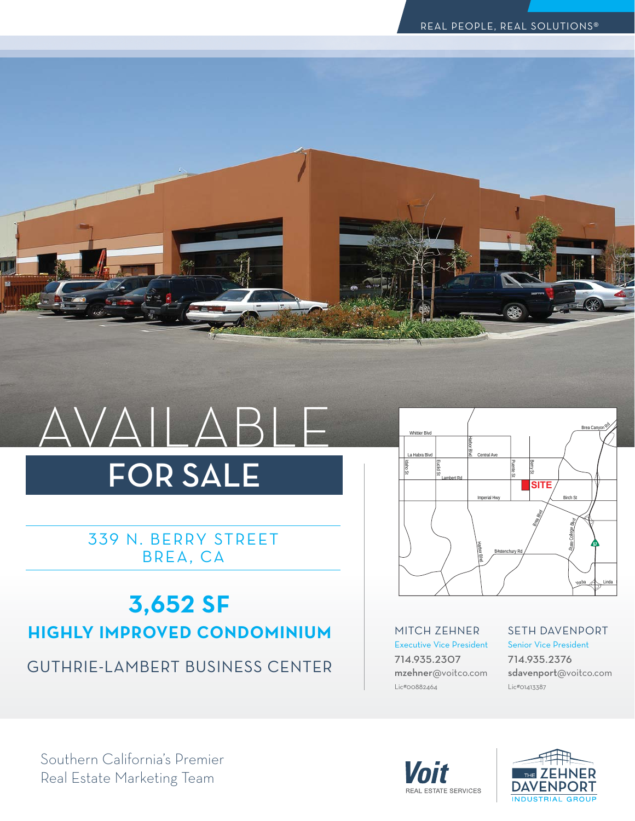

# AVAILABLE FOR SALE

339 N. BERRY STREET BREA, CA

## **3,652 SF HIGHLY IMPROVED CONDOMINIUM**

GUTHRIE-LAMBERT-BUSINESS-CENTER



MITCH-ZEHNER Executive Vice President 714.935.2307 mzehner@voitco.com Lic#00882464

SETH-DAVENPORT Senior Vice President

714.935.2376 sdavenport@voitco.com Lic#01413387





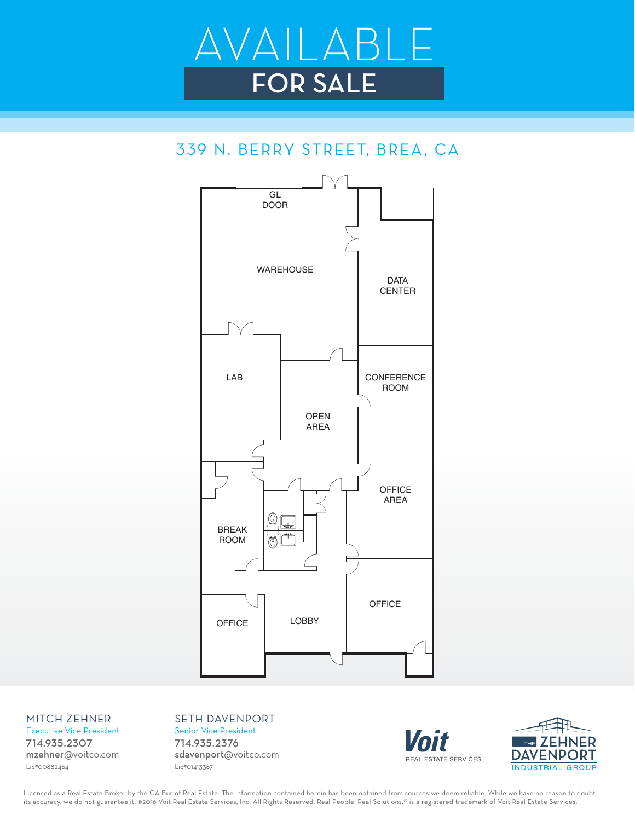

## 339 N. BERRY STREET, BREA, CA



#### MITCH-ZEHNER

Executive Vice President 714.935.2307 mzehner@voitco.com Lic#00882464

SETH-DAVENPORT Senior Vice President 714.935.2376 sdavenport@voitco.com Lic#01413387





Licensed as a Real Estate Broker by the CA Bur of Real Estate. The information contained herein has been obtained from sources we deem reliable. While we have no reason to doubt its accuracy, we do not guarantee it. ©2016 Voit Real Estate Services, Inc. All Rights Reserved. Real People. Real Solutions.® is a registered trademark of Voit Real Estate Services.